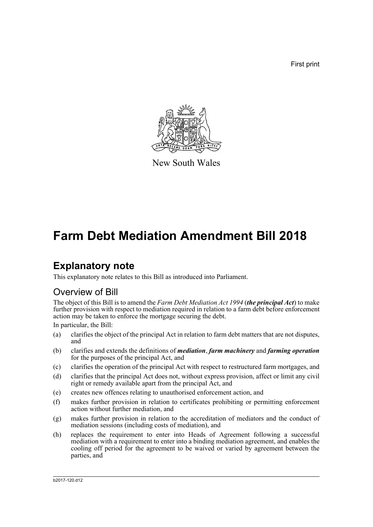First print



New South Wales

# **Farm Debt Mediation Amendment Bill 2018**

# **Explanatory note**

This explanatory note relates to this Bill as introduced into Parliament.

## Overview of Bill

The object of this Bill is to amend the *Farm Debt Mediation Act 1994* (*the principal Act*) to make further provision with respect to mediation required in relation to a farm debt before enforcement action may be taken to enforce the mortgage securing the debt.

In particular, the Bill:

- (a) clarifies the object of the principal Act in relation to farm debt matters that are not disputes, and
- (b) clarifies and extends the definitions of *mediation*, *farm machinery* and *farming operation* for the purposes of the principal Act, and
- (c) clarifies the operation of the principal Act with respect to restructured farm mortgages, and
- (d) clarifies that the principal Act does not, without express provision, affect or limit any civil right or remedy available apart from the principal Act, and
- (e) creates new offences relating to unauthorised enforcement action, and
- (f) makes further provision in relation to certificates prohibiting or permitting enforcement action without further mediation, and
- (g) makes further provision in relation to the accreditation of mediators and the conduct of mediation sessions (including costs of mediation), and
- (h) replaces the requirement to enter into Heads of Agreement following a successful mediation with a requirement to enter into a binding mediation agreement, and enables the cooling off period for the agreement to be waived or varied by agreement between the parties, and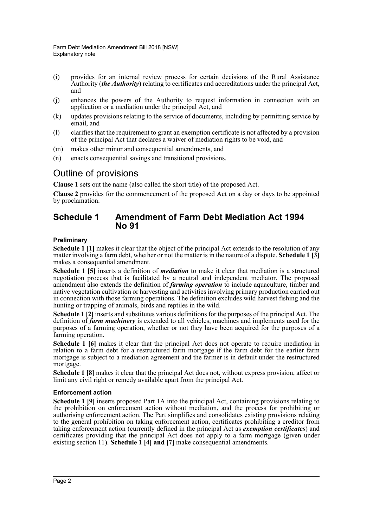- (i) provides for an internal review process for certain decisions of the Rural Assistance Authority (*the Authority*) relating to certificates and accreditations under the principal Act, and
- (j) enhances the powers of the Authority to request information in connection with an application or a mediation under the principal Act, and
- (k) updates provisions relating to the service of documents, including by permitting service by email, and
- (l) clarifies that the requirement to grant an exemption certificate is not affected by a provision of the principal Act that declares a waiver of mediation rights to be void, and
- (m) makes other minor and consequential amendments, and
- (n) enacts consequential savings and transitional provisions.

## Outline of provisions

**Clause 1** sets out the name (also called the short title) of the proposed Act.

**Clause 2** provides for the commencement of the proposed Act on a day or days to be appointed by proclamation.

### **Schedule 1 Amendment of Farm Debt Mediation Act 1994 No 91**

#### **Preliminary**

**Schedule 1 [1]** makes it clear that the object of the principal Act extends to the resolution of any matter involving a farm debt, whether or not the matter is in the nature of a dispute. **Schedule 1 [3]** makes a consequential amendment.

**Schedule 1 [5]** inserts a definition of *mediation* to make it clear that mediation is a structured negotiation process that is facilitated by a neutral and independent mediator. The proposed amendment also extends the definition of *farming operation* to include aquaculture, timber and native vegetation cultivation or harvesting and activities involving primary production carried out in connection with those farming operations. The definition excludes wild harvest fishing and the hunting or trapping of animals, birds and reptiles in the wild.

**Schedule 1 [2]** inserts and substitutes various definitions for the purposes of the principal Act. The definition of *farm machinery* is extended to all vehicles, machines and implements used for the purposes of a farming operation, whether or not they have been acquired for the purposes of a farming operation.

**Schedule 1 [6]** makes it clear that the principal Act does not operate to require mediation in relation to a farm debt for a restructured farm mortgage if the farm debt for the earlier farm mortgage is subject to a mediation agreement and the farmer is in default under the restructured mortgage.

**Schedule 1 [8]** makes it clear that the principal Act does not, without express provision, affect or limit any civil right or remedy available apart from the principal Act.

#### **Enforcement action**

**Schedule 1 [9]** inserts proposed Part 1A into the principal Act, containing provisions relating to the prohibition on enforcement action without mediation, and the process for prohibiting or authorising enforcement action. The Part simplifies and consolidates existing provisions relating to the general prohibition on taking enforcement action, certificates prohibiting a creditor from taking enforcement action (currently defined in the principal Act as *exemption certificates*) and certificates providing that the principal Act does not apply to a farm mortgage (given under existing section 11). **Schedule 1 [4] and [7]** make consequential amendments.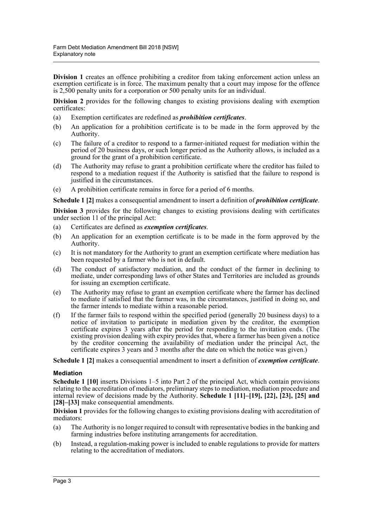**Division 1** creates an offence prohibiting a creditor from taking enforcement action unless an exemption certificate is in force. The maximum penalty that a court may impose for the offence is 2,500 penalty units for a corporation or 500 penalty units for an individual.

**Division 2** provides for the following changes to existing provisions dealing with exemption certificates:

- (a) Exemption certificates are redefined as *prohibition certificates*.
- (b) An application for a prohibition certificate is to be made in the form approved by the Authority.
- (c) The failure of a creditor to respond to a farmer-initiated request for mediation within the period of 20 business days, or such longer period as the Authority allows, is included as a ground for the grant of a prohibition certificate.
- (d) The Authority may refuse to grant a prohibition certificate where the creditor has failed to respond to a mediation request if the Authority is satisfied that the failure to respond is justified in the circumstances.
- (e) A prohibition certificate remains in force for a period of 6 months.

**Schedule 1 [2]** makes a consequential amendment to insert a definition of *prohibition certificate*.

**Division 3** provides for the following changes to existing provisions dealing with certificates under section 11 of the principal Act:

- (a) Certificates are defined as *exemption certificates*.
- (b) An application for an exemption certificate is to be made in the form approved by the Authority.
- (c) It is not mandatory for the Authority to grant an exemption certificate where mediation has been requested by a farmer who is not in default.
- (d) The conduct of satisfactory mediation, and the conduct of the farmer in declining to mediate, under corresponding laws of other States and Territories are included as grounds for issuing an exemption certificate.
- (e) The Authority may refuse to grant an exemption certificate where the farmer has declined to mediate if satisfied that the farmer was, in the circumstances, justified in doing so, and the farmer intends to mediate within a reasonable period.
- (f) If the farmer fails to respond within the specified period (generally 20 business days) to a notice of invitation to participate in mediation given by the creditor, the exemption certificate expires 3 years after the period for responding to the invitation ends. (The existing provision dealing with expiry provides that, where a farmer has been given a notice by the creditor concerning the availability of mediation under the principal Act, the certificate expires 3 years and 3 months after the date on which the notice was given.)

**Schedule 1 [2]** makes a consequential amendment to insert a definition of *exemption certificate*.

#### **Mediation**

**Schedule 1 [10]** inserts Divisions 1–5 into Part 2 of the principal Act, which contain provisions relating to the accreditation of mediators, preliminary steps to mediation, mediation procedure and internal review of decisions made by the Authority. **Schedule 1 [11]–[19], [22], [23], [25] and** [28]–[33] make consequential amendments.

**Division 1** provides for the following changes to existing provisions dealing with accreditation of mediators:

- (a) The Authority is no longer required to consult with representative bodies in the banking and farming industries before instituting arrangements for accreditation.
- (b) Instead, a regulation-making power is included to enable regulations to provide for matters relating to the accreditation of mediators.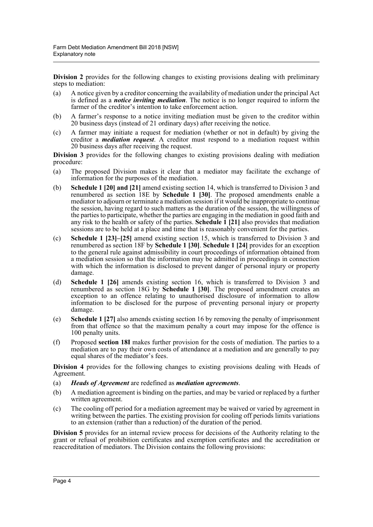**Division 2** provides for the following changes to existing provisions dealing with preliminary steps to mediation:

- (a) A notice given by a creditor concerning the availability of mediation under the principal Act is defined as a *notice inviting mediation*. The notice is no longer required to inform the farmer of the creditor's intention to take enforcement action.
- (b) A farmer's response to a notice inviting mediation must be given to the creditor within 20 business days (instead of 21 ordinary days) after receiving the notice.
- (c) A farmer may initiate a request for mediation (whether or not in default) by giving the creditor a *mediation request*. A creditor must respond to a mediation request within 20 business days after receiving the request.

**Division 3** provides for the following changes to existing provisions dealing with mediation procedure:

- (a) The proposed Division makes it clear that a mediator may facilitate the exchange of information for the purposes of the mediation.
- (b) **Schedule 1 [20] and [21]** amend existing section 14, which is transferred to Division 3 and renumbered as section 18E by **Schedule 1 [30]**. The proposed amendments enable a mediator to adjourn or terminate a mediation session if it would be inappropriate to continue the session, having regard to such matters as the duration of the session, the willingness of the parties to participate, whether the parties are engaging in the mediation in good faith and any risk to the health or safety of the parties. **Schedule 1 [21]** also provides that mediation sessions are to be held at a place and time that is reasonably convenient for the parties.
- (c) **Schedule 1 [23]–[25]** amend existing section 15, which is transferred to Division 3 and renumbered as section 18F by **Schedule 1 [30]**. **Schedule 1 [24]** provides for an exception to the general rule against admissibility in court proceedings of information obtained from a mediation session so that the information may be admitted in proceedings in connection with which the information is disclosed to prevent danger of personal injury or property damage.
- (d) **Schedule 1 [26]** amends existing section 16, which is transferred to Division 3 and renumbered as section 18G by **Schedule 1 [30]**. The proposed amendment creates an exception to an offence relating to unauthorised disclosure of information to allow information to be disclosed for the purpose of preventing personal injury or property damage.
- (e) **Schedule 1 [27]** also amends existing section 16 by removing the penalty of imprisonment from that offence so that the maximum penalty a court may impose for the offence is 100 penalty units.
- (f) Proposed **section 18I** makes further provision for the costs of mediation. The parties to a mediation are to pay their own costs of attendance at a mediation and are generally to pay equal shares of the mediator's fees.

**Division 4** provides for the following changes to existing provisions dealing with Heads of Agreement.

- (a) *Heads of Agreement* are redefined as *mediation agreements*.
- (b) A mediation agreement is binding on the parties, and may be varied or replaced by a further written agreement.
- (c) The cooling off period for a mediation agreement may be waived or varied by agreement in writing between the parties. The existing provision for cooling off periods limits variations to an extension (rather than a reduction) of the duration of the period.

**Division 5** provides for an internal review process for decisions of the Authority relating to the grant or refusal of prohibition certificates and exemption certificates and the accreditation or reaccreditation of mediators. The Division contains the following provisions: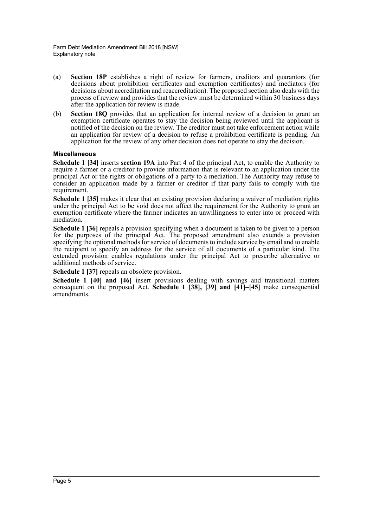- (a) **Section 18P** establishes a right of review for farmers, creditors and guarantors (for decisions about prohibition certificates and exemption certificates) and mediators (for decisions about accreditation and reaccreditation). The proposed section also deals with the process of review and provides that the review must be determined within 30 business days after the application for review is made.
- (b) **Section 18Q** provides that an application for internal review of a decision to grant an exemption certificate operates to stay the decision being reviewed until the applicant is notified of the decision on the review. The creditor must not take enforcement action while an application for review of a decision to refuse a prohibition certificate is pending. An application for the review of any other decision does not operate to stay the decision.

#### **Miscellaneous**

**Schedule 1 [34]** inserts **section 19A** into Part 4 of the principal Act, to enable the Authority to require a farmer or a creditor to provide information that is relevant to an application under the principal Act or the rights or obligations of a party to a mediation. The Authority may refuse to consider an application made by a farmer or creditor if that party fails to comply with the requirement.

**Schedule 1 [35]** makes it clear that an existing provision declaring a waiver of mediation rights under the principal Act to be void does not affect the requirement for the Authority to grant an exemption certificate where the farmer indicates an unwillingness to enter into or proceed with mediation.

**Schedule 1 [36]** repeals a provision specifying when a document is taken to be given to a person **SCIEULIE 1** [30] repeats a provision specifying when a document is uncen to be given to a provision for the purposes of the principal Act. The proposed amendment also extends a provision specifying the optional methods for service of documents to include service by email and to enable the recipient to specify an address for the service of all documents of a particular kind. The extended provision enables regulations under the principal Act to prescribe alternative or additional methods of service.

**Schedule 1 [37]** repeals an obsolete provision.

**Schedule 1 [40] and [46]** insert provisions dealing with savings and transitional matters consequent on the proposed Act. **Schedule 1 [38], [39] and [41]–[45]** make consequential amendments.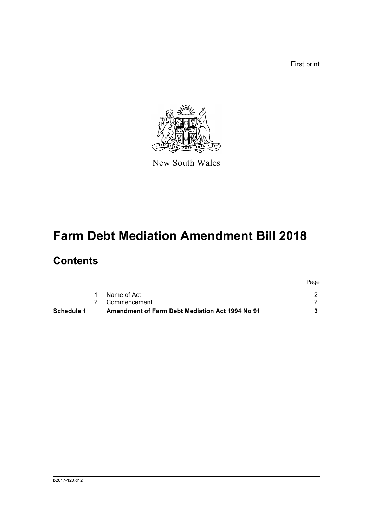First print



New South Wales

# **Farm Debt Mediation Amendment Bill 2018**

# **Contents**

| Schedule 1 | Amendment of Farm Debt Mediation Act 1994 No 91 |      |
|------------|-------------------------------------------------|------|
|            | 2 Commencement                                  |      |
|            | Name of Act                                     |      |
|            |                                                 | Page |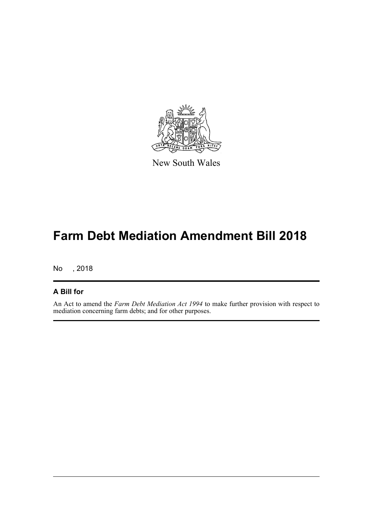

New South Wales

# **Farm Debt Mediation Amendment Bill 2018**

No , 2018

### **A Bill for**

An Act to amend the *Farm Debt Mediation Act 1994* to make further provision with respect to mediation concerning farm debts; and for other purposes.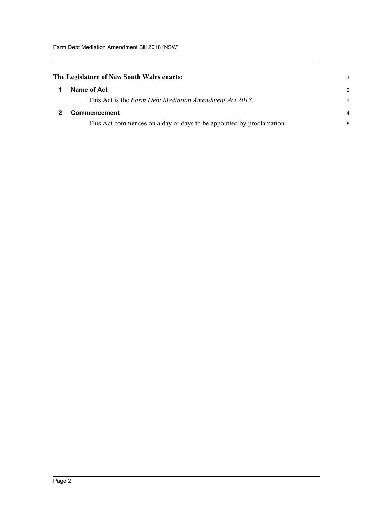<span id="page-7-1"></span><span id="page-7-0"></span>

| The Legislature of New South Wales enacts: |                                                                      |               |  |  |
|--------------------------------------------|----------------------------------------------------------------------|---------------|--|--|
|                                            | Name of Act                                                          | $\mathcal{L}$ |  |  |
|                                            | This Act is the Farm Debt Mediation Amendment Act 2018.              | 3             |  |  |
|                                            | <b>Commencement</b>                                                  | 4             |  |  |
|                                            | This Act commences on a day or days to be appointed by proclamation. | 5             |  |  |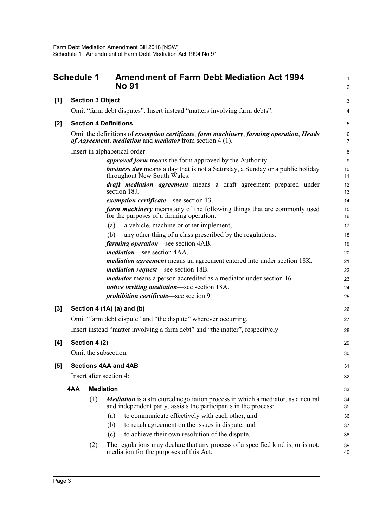<span id="page-8-0"></span>

|       | <b>Schedule 1</b> |               |                              | <b>Amendment of Farm Debt Mediation Act 1994</b><br>No 91                                                                                                 |                           |  |
|-------|-------------------|---------------|------------------------------|-----------------------------------------------------------------------------------------------------------------------------------------------------------|---------------------------|--|
| [1]   |                   |               | <b>Section 3 Object</b>      |                                                                                                                                                           | 3                         |  |
|       |                   |               |                              | Omit "farm debt disputes". Insert instead "matters involving farm debts".                                                                                 | 4                         |  |
| $[2]$ |                   |               | <b>Section 4 Definitions</b> |                                                                                                                                                           | 5                         |  |
|       |                   |               |                              | Omit the definitions of exemption certificate, farm machinery, farming operation, Heads<br>of Agreement, mediation and mediator from section $4(1)$ .     | $\,6\,$<br>$\overline{7}$ |  |
|       |                   |               |                              | Insert in alphabetical order:                                                                                                                             | 8                         |  |
|       |                   |               |                              | <i>approved form</i> means the form approved by the Authority.                                                                                            | 9                         |  |
|       |                   |               |                              | <b>business day</b> means a day that is not a Saturday, a Sunday or a public holiday<br>throughout New South Wales.                                       | 10<br>11                  |  |
|       |                   |               |                              | <i>draft mediation agreement</i> means a draft agreement prepared under<br>section 18J.                                                                   | 12<br>13                  |  |
|       |                   |               |                              | exemption certificate—see section 13.                                                                                                                     | 14                        |  |
|       |                   |               |                              | <b>farm machinery</b> means any of the following things that are commonly used<br>for the purposes of a farming operation:                                | 15<br>16                  |  |
|       |                   |               | (a)                          | a vehicle, machine or other implement,                                                                                                                    | 17                        |  |
|       |                   |               | (b)                          | any other thing of a class prescribed by the regulations.                                                                                                 | 18                        |  |
|       |                   |               |                              | farming operation—see section 4AB.                                                                                                                        | 19                        |  |
|       |                   |               |                              | <i>mediation</i> —see section 4AA.                                                                                                                        | 20                        |  |
|       |                   |               |                              | <i>mediation agreement</i> means an agreement entered into under section 18K.                                                                             | 21                        |  |
|       |                   |               |                              | <i>mediation request</i> —see section 18B.                                                                                                                | 22                        |  |
|       |                   |               |                              | <i>mediator</i> means a person accredited as a mediator under section 16.                                                                                 | 23                        |  |
|       |                   |               |                              | notice inviting mediation—see section 18A.                                                                                                                | 24                        |  |
|       |                   |               |                              | <i>prohibition certificate</i> —see section 9.                                                                                                            | 25                        |  |
| $[3]$ |                   |               |                              | Section 4 (1A) (a) and (b)                                                                                                                                | 26                        |  |
|       |                   |               |                              | Omit "farm debt dispute" and "the dispute" wherever occurring.                                                                                            | 27                        |  |
|       |                   |               |                              | Insert instead "matter involving a farm debt" and "the matter", respectively.                                                                             | 28                        |  |
| [4]   |                   | Section 4 (2) |                              |                                                                                                                                                           | 29                        |  |
|       |                   |               | Omit the subsection.         |                                                                                                                                                           | 30                        |  |
| [5]   |                   |               | <b>Sections 4AA and 4AB</b>  |                                                                                                                                                           | 31                        |  |
|       |                   |               | Insert after section 4:      |                                                                                                                                                           | 32                        |  |
|       | 4AA               |               | <b>Mediation</b>             |                                                                                                                                                           | 33                        |  |
|       |                   | (1)           |                              | <b>Mediation</b> is a structured negotiation process in which a mediator, as a neutral<br>and independent party, assists the participants in the process: | 34<br>35                  |  |
|       |                   |               | (a)                          | to communicate effectively with each other, and                                                                                                           | 36                        |  |
|       |                   |               | (b)                          | to reach agreement on the issues in dispute, and                                                                                                          | 37                        |  |
|       |                   |               | (c)                          | to achieve their own resolution of the dispute.                                                                                                           | 38                        |  |
|       |                   | (2)           |                              | The regulations may declare that any process of a specified kind is, or is not,<br>mediation for the purposes of this Act.                                | 39<br>40                  |  |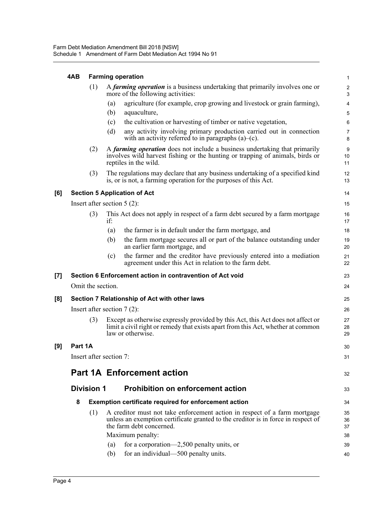#### **4AB Farming operation**

|     | 4AB     | <b>Farming operation</b> |                                                                                                                   |                                                                                                                                                                                            |                     |  |  |
|-----|---------|--------------------------|-------------------------------------------------------------------------------------------------------------------|--------------------------------------------------------------------------------------------------------------------------------------------------------------------------------------------|---------------------|--|--|
|     |         | (1)                      | A farming operation is a business undertaking that primarily involves one or<br>more of the following activities: |                                                                                                                                                                                            |                     |  |  |
|     |         |                          | (a)                                                                                                               | agriculture (for example, crop growing and livestock or grain farming),                                                                                                                    | 4                   |  |  |
|     |         |                          | (b)                                                                                                               | aquaculture,                                                                                                                                                                               | 5                   |  |  |
|     |         |                          | (c)                                                                                                               | the cultivation or harvesting of timber or native vegetation,                                                                                                                              | 6                   |  |  |
|     |         |                          | (d)                                                                                                               | any activity involving primary production carried out in connection<br>with an activity referred to in paragraphs $(a)$ – $(c)$ .                                                          | $\overline{7}$<br>8 |  |  |
|     |         | (2)                      |                                                                                                                   | A farming operation does not include a business undertaking that primarily<br>involves wild harvest fishing or the hunting or trapping of animals, birds or<br>reptiles in the wild.       | 9<br>10<br>11       |  |  |
|     |         | (3)                      |                                                                                                                   | The regulations may declare that any business undertaking of a specified kind<br>is, or is not, a farming operation for the purposes of this Act.                                          | 12<br>13            |  |  |
| [6] |         |                          |                                                                                                                   | <b>Section 5 Application of Act</b>                                                                                                                                                        | 14                  |  |  |
|     |         |                          |                                                                                                                   | Insert after section $5(2)$ :                                                                                                                                                              | 15                  |  |  |
|     |         | (3)                      | if:                                                                                                               | This Act does not apply in respect of a farm debt secured by a farm mortgage                                                                                                               | 16<br>17            |  |  |
|     |         |                          | (a)                                                                                                               | the farmer is in default under the farm mortgage, and                                                                                                                                      | 18                  |  |  |
|     |         |                          | (b)                                                                                                               | the farm mortgage secures all or part of the balance outstanding under<br>an earlier farm mortgage, and                                                                                    | 19<br>20            |  |  |
|     |         |                          | (c)                                                                                                               | the farmer and the creditor have previously entered into a mediation<br>agreement under this Act in relation to the farm debt.                                                             | 21<br>22            |  |  |
| [7] |         |                          |                                                                                                                   | Section 6 Enforcement action in contravention of Act void                                                                                                                                  | 23                  |  |  |
|     |         | Omit the section.        |                                                                                                                   |                                                                                                                                                                                            | 24                  |  |  |
| [8] |         |                          |                                                                                                                   | Section 7 Relationship of Act with other laws                                                                                                                                              | 25                  |  |  |
|     |         |                          |                                                                                                                   | Insert after section $7(2)$ :                                                                                                                                                              | 26                  |  |  |
|     |         | (3)                      |                                                                                                                   | Except as otherwise expressly provided by this Act, this Act does not affect or<br>limit a civil right or remedy that exists apart from this Act, whether at common<br>law or otherwise.   | 27<br>28<br>29      |  |  |
| [9] | Part 1A |                          |                                                                                                                   |                                                                                                                                                                                            | 30                  |  |  |
|     |         | Insert after section 7:  |                                                                                                                   |                                                                                                                                                                                            | 31                  |  |  |
|     |         |                          |                                                                                                                   |                                                                                                                                                                                            |                     |  |  |
|     |         |                          |                                                                                                                   | <b>Part 1A Enforcement action</b>                                                                                                                                                          | 32                  |  |  |
|     |         | <b>Division 1</b>        |                                                                                                                   | <b>Prohibition on enforcement action</b>                                                                                                                                                   | 33                  |  |  |
|     | 8       |                          |                                                                                                                   | Exemption certificate required for enforcement action                                                                                                                                      | 34                  |  |  |
|     |         | (1)                      |                                                                                                                   | A creditor must not take enforcement action in respect of a farm mortgage<br>unless an exemption certificate granted to the creditor is in force in respect of<br>the farm debt concerned. | 35<br>36<br>37      |  |  |
|     |         |                          |                                                                                                                   | Maximum penalty:                                                                                                                                                                           | 38                  |  |  |
|     |         |                          | (a)                                                                                                               | for a corporation—2,500 penalty units, or                                                                                                                                                  | 39                  |  |  |
|     |         |                          | (b)                                                                                                               | for an individual—500 penalty units.                                                                                                                                                       | 40                  |  |  |

**[9]**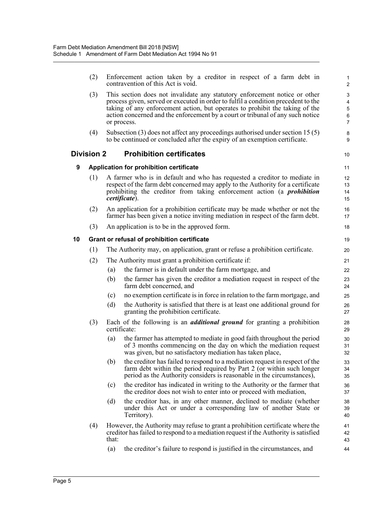|    | (2)               |       | Enforcement action taken by a creditor in respect of a farm debt in<br>contravention of this Act is void.                                                                                                                                                                                                                                        | 1<br>$\overline{2}$                |
|----|-------------------|-------|--------------------------------------------------------------------------------------------------------------------------------------------------------------------------------------------------------------------------------------------------------------------------------------------------------------------------------------------------|------------------------------------|
|    | (3)               |       | This section does not invalidate any statutory enforcement notice or other<br>process given, served or executed in order to fulfil a condition precedent to the<br>taking of any enforcement action, but operates to prohibit the taking of the<br>action concerned and the enforcement by a court or tribunal of any such notice<br>or process. | 3<br>4<br>5<br>6<br>$\overline{7}$ |
|    | (4)               |       | Subsection $(3)$ does not affect any proceedings authorised under section 15 $(5)$<br>to be continued or concluded after the expiry of an exemption certificate.                                                                                                                                                                                 | 8<br>9                             |
|    | <b>Division 2</b> |       | <b>Prohibition certificates</b>                                                                                                                                                                                                                                                                                                                  | 10                                 |
| 9  |                   |       | Application for prohibition certificate                                                                                                                                                                                                                                                                                                          | 11                                 |
|    | (1)               |       | A farmer who is in default and who has requested a creditor to mediate in<br>respect of the farm debt concerned may apply to the Authority for a certificate<br>prohibiting the creditor from taking enforcement action (a <i>prohibition</i><br><i>certificate</i> ).                                                                           | 12<br>13<br>14<br>15               |
|    | (2)               |       | An application for a prohibition certificate may be made whether or not the<br>farmer has been given a notice inviting mediation in respect of the farm debt.                                                                                                                                                                                    | 16<br>17                           |
|    | (3)               |       | An application is to be in the approved form.                                                                                                                                                                                                                                                                                                    | 18                                 |
| 10 |                   |       | Grant or refusal of prohibition certificate                                                                                                                                                                                                                                                                                                      | 19                                 |
|    | (1)               |       | The Authority may, on application, grant or refuse a prohibition certificate.                                                                                                                                                                                                                                                                    | 20                                 |
|    | (2)               |       | The Authority must grant a prohibition certificate if:                                                                                                                                                                                                                                                                                           | 21                                 |
|    |                   | (a)   | the farmer is in default under the farm mortgage, and                                                                                                                                                                                                                                                                                            | 22                                 |
|    |                   | (b)   | the farmer has given the creditor a mediation request in respect of the<br>farm debt concerned, and                                                                                                                                                                                                                                              | 23<br>24                           |
|    |                   | (c)   | no exemption certificate is in force in relation to the farm mortgage, and                                                                                                                                                                                                                                                                       | 25                                 |
|    |                   | (d)   | the Authority is satisfied that there is at least one additional ground for<br>granting the prohibition certificate.                                                                                                                                                                                                                             | 26<br>27                           |
|    | (3)               |       | Each of the following is an <i>additional ground</i> for granting a prohibition<br>certificate:                                                                                                                                                                                                                                                  | 28<br>29                           |
|    |                   | (a)   | the farmer has attempted to mediate in good faith throughout the period<br>of 3 months commencing on the day on which the mediation request<br>was given, but no satisfactory mediation has taken place,                                                                                                                                         | 30<br>31<br>32                     |
|    |                   | (b)   | the creditor has failed to respond to a mediation request in respect of the<br>farm debt within the period required by Part 2 (or within such longer<br>period as the Authority considers is reasonable in the circumstances),                                                                                                                   | 33<br>34<br>35                     |
|    |                   | (c)   | the creditor has indicated in writing to the Authority or the farmer that<br>the creditor does not wish to enter into or proceed with mediation,                                                                                                                                                                                                 | 36<br>37                           |
|    |                   | (d)   | the creditor has, in any other manner, declined to mediate (whether<br>under this Act or under a corresponding law of another State or<br>Territory).                                                                                                                                                                                            | 38<br>39<br>40                     |
|    | (4)               | that: | However, the Authority may refuse to grant a prohibition certificate where the<br>creditor has failed to respond to a mediation request if the Authority is satisfied                                                                                                                                                                            | 41<br>42<br>43                     |
|    |                   | (a)   | the creditor's failure to respond is justified in the circumstances, and                                                                                                                                                                                                                                                                         | 44                                 |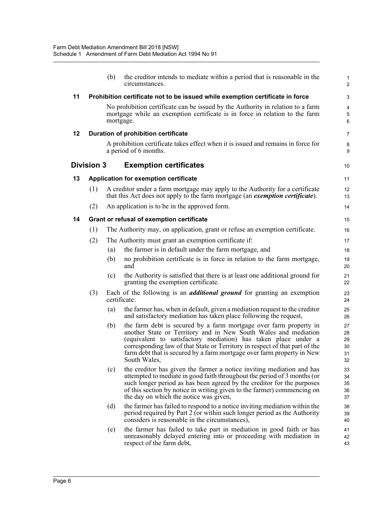|    |                   | (b)       | the creditor intends to mediate within a period that is reasonable in the<br>circumstances.                                                                                                                                                                                                                                                                                     | $\mathbf{1}$<br>$\overline{2}$   |
|----|-------------------|-----------|---------------------------------------------------------------------------------------------------------------------------------------------------------------------------------------------------------------------------------------------------------------------------------------------------------------------------------------------------------------------------------|----------------------------------|
| 11 |                   |           | Prohibition certificate not to be issued while exemption certificate in force                                                                                                                                                                                                                                                                                                   | 3                                |
|    |                   | mortgage. | No prohibition certificate can be issued by the Authority in relation to a farm<br>mortgage while an exemption certificate is in force in relation to the farm                                                                                                                                                                                                                  | 4<br>5<br>6                      |
| 12 |                   |           | Duration of prohibition certificate                                                                                                                                                                                                                                                                                                                                             | $\overline{7}$                   |
|    |                   |           | A prohibition certificate takes effect when it is issued and remains in force for<br>a period of 6 months.                                                                                                                                                                                                                                                                      | 8<br>9                           |
|    | <b>Division 3</b> |           | <b>Exemption certificates</b>                                                                                                                                                                                                                                                                                                                                                   | 10                               |
| 13 |                   |           | Application for exemption certificate                                                                                                                                                                                                                                                                                                                                           | 11                               |
|    | (1)               |           | A creditor under a farm mortgage may apply to the Authority for a certificate<br>that this Act does not apply to the farm mortgage (an <i>exemption certificate</i> ).                                                                                                                                                                                                          | 12 <sup>2</sup><br>13            |
|    | (2)               |           | An application is to be in the approved form.                                                                                                                                                                                                                                                                                                                                   | 14                               |
| 14 |                   |           | Grant or refusal of exemption certificate                                                                                                                                                                                                                                                                                                                                       | 15                               |
|    | (1)               |           | The Authority may, on application, grant or refuse an exemption certificate.                                                                                                                                                                                                                                                                                                    | 16                               |
|    | (2)               |           | The Authority must grant an exemption certificate if:                                                                                                                                                                                                                                                                                                                           | 17                               |
|    |                   | (a)       | the farmer is in default under the farm mortgage, and                                                                                                                                                                                                                                                                                                                           | 18                               |
|    |                   | (b)       | no prohibition certificate is in force in relation to the farm mortgage,<br>and                                                                                                                                                                                                                                                                                                 | 19<br>20                         |
|    |                   | (c)       | the Authority is satisfied that there is at least one additional ground for<br>granting the exemption certificate.                                                                                                                                                                                                                                                              | 21<br>22                         |
|    | (3)               |           | Each of the following is an <i>additional ground</i> for granting an exemption<br>certificate:                                                                                                                                                                                                                                                                                  | 23<br>24                         |
|    |                   | (a)       | the farmer has, when in default, given a mediation request to the creditor<br>and satisfactory mediation has taken place following the request,                                                                                                                                                                                                                                 | 25<br>26                         |
|    |                   | (b)       | the farm debt is secured by a farm mortgage over farm property in<br>another State or Territory and in New South Wales and mediation<br>(equivalent to satisfactory mediation) has taken place under a<br>corresponding law of that State or Territory in respect of that part of the<br>farm debt that is secured by a farm mortgage over farm property in New<br>South Wales, | 27<br>28<br>29<br>30<br>31<br>32 |
|    |                   | (c)       | the creditor has given the farmer a notice inviting mediation and has<br>attempted to mediate in good faith throughout the period of 3 months (or<br>such longer period as has been agreed by the creditor for the purposes<br>of this section by notice in writing given to the farmer) commencing on<br>the day on which the notice was given,                                | 33<br>34<br>35<br>36<br>37       |
|    |                   | (d)       | the farmer has failed to respond to a notice inviting mediation within the<br>period required by Part 2 (or within such longer period as the Authority<br>considers is reasonable in the circumstances),                                                                                                                                                                        | 38<br>39<br>40                   |
|    |                   | (e)       | the farmer has failed to take part in mediation in good faith or has<br>unreasonably delayed entering into or proceeding with mediation in<br>respect of the farm debt,                                                                                                                                                                                                         | 41<br>42<br>43                   |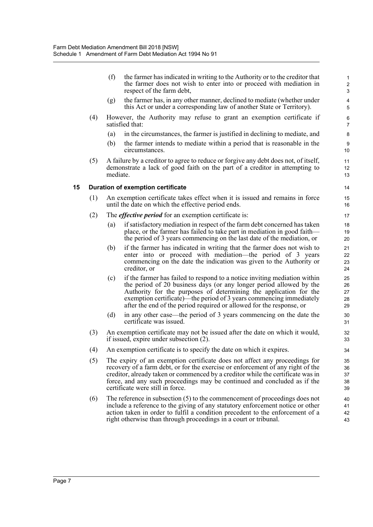(f) the farmer has indicated in writing to the Authority or to the creditor that the farmer does not wish to enter into or proceed with mediation in respect of the farm debt,

- (g) the farmer has, in any other manner, declined to mediate (whether under this Act or under a corresponding law of another State or Territory).
- (4) However, the Authority may refuse to grant an exemption certificate if satisfied that:
	- (a) in the circumstances, the farmer is justified in declining to mediate, and
	- (b) the farmer intends to mediate within a period that is reasonable in the circumstances.
- (5) A failure by a creditor to agree to reduce or forgive any debt does not, of itself, demonstrate a lack of good faith on the part of a creditor in attempting to mediate.

#### **15 Duration of exemption certificate**

- (1) An exemption certificate takes effect when it is issued and remains in force until the date on which the effective period ends.
- (2) The *effective period* for an exemption certificate is:
	- (a) if satisfactory mediation in respect of the farm debt concerned has taken place, or the farmer has failed to take part in mediation in good faith the period of 3 years commencing on the last date of the mediation, or
	- (b) if the farmer has indicated in writing that the farmer does not wish to enter into or proceed with mediation—the period of 3 years commencing on the date the indication was given to the Authority or creditor, or
	- (c) if the farmer has failed to respond to a notice inviting mediation within the period of 20 business days (or any longer period allowed by the Authority for the purposes of determining the application for the exemption certificate)—the period of 3 years commencing immediately after the end of the period required or allowed for the response, or
	- (d) in any other case—the period of 3 years commencing on the date the certificate was issued.
- (3) An exemption certificate may not be issued after the date on which it would, if issued, expire under subsection (2).
- (4) An exemption certificate is to specify the date on which it expires.
- (5) The expiry of an exemption certificate does not affect any proceedings for recovery of a farm debt, or for the exercise or enforcement of any right of the creditor, already taken or commenced by a creditor while the certificate was in force, and any such proceedings may be continued and concluded as if the certificate were still in force.
- (6) The reference in subsection (5) to the commencement of proceedings does not include a reference to the giving of any statutory enforcement notice or other action taken in order to fulfil a condition precedent to the enforcement of a right otherwise than through proceedings in a court or tribunal.  $40$ 41 42 43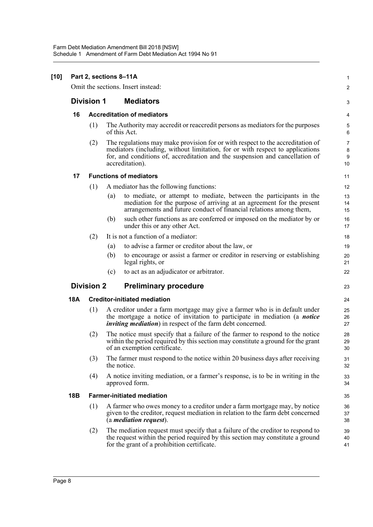#### **[10] Part 2, sections 8–11A**

Omit the sections. Insert instead:

#### **Division 1 Mediators**

#### **16 Accreditation of mediators**

(1) The Authority may accredit or reaccredit persons as mediators for the purposes of this Act.

1  $\mathfrak{p}$ 

3

23

(2) The regulations may make provision for or with respect to the accreditation of mediators (including, without limitation, for or with respect to applications for, and conditions of, accreditation and the suspension and cancellation of accreditation).

#### **17 Functions of mediators**

| (1) A mediator has the following functions: |  |
|---------------------------------------------|--|
|---------------------------------------------|--|

- (a) to mediate, or attempt to mediate, between the participants in the mediation for the purpose of arriving at an agreement for the present arrangements and future conduct of financial relations among them,
- (b) such other functions as are conferred or imposed on the mediator by or under this or any other Act.
- (2) It is not a function of a mediator:
	- (a) to advise a farmer or creditor about the law, or
	- (b) to encourage or assist a farmer or creditor in reserving or establishing legal rights, or
	- (c) to act as an adjudicator or arbitrator.

#### **Division 2 Preliminary procedure**

#### **18A Creditor-initiated mediation**

- (1) A creditor under a farm mortgage may give a farmer who is in default under the mortgage a notice of invitation to participate in mediation (a *notice inviting mediation*) in respect of the farm debt concerned.
- (2) The notice must specify that a failure of the farmer to respond to the notice within the period required by this section may constitute a ground for the grant of an exemption certificate.
- (3) The farmer must respond to the notice within 20 business days after receiving the notice.
- (4) A notice inviting mediation, or a farmer's response, is to be in writing in the approved form.

#### **18B Farmer-initiated mediation**

- (1) A farmer who owes money to a creditor under a farm mortgage may, by notice given to the creditor, request mediation in relation to the farm debt concerned (a *mediation request*).
- (2) The mediation request must specify that a failure of the creditor to respond to the request within the period required by this section may constitute a ground for the grant of a prohibition certificate.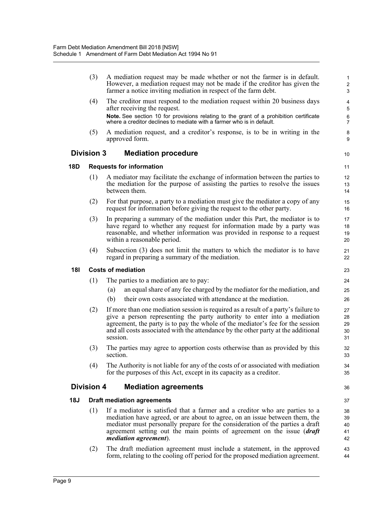(3) A mediation request may be made whether or not the farmer is in default. However, a mediation request may not be made if the creditor has given the farmer a notice inviting mediation in respect of the farm debt. (4) The creditor must respond to the mediation request within 20 business days after receiving the request. **Note.** See section 10 for provisions relating to the grant of a prohibition certificate where a creditor declines to mediate with a farmer who is in default. (5) A mediation request, and a creditor's response, is to be in writing in the approved form. **Division 3 Mediation procedure 18D Requests for information** (1) A mediator may facilitate the exchange of information between the parties to the mediation for the purpose of assisting the parties to resolve the issues between them. (2) For that purpose, a party to a mediation must give the mediator a copy of any request for information before giving the request to the other party. (3) In preparing a summary of the mediation under this Part, the mediator is to have regard to whether any request for information made by a party was reasonable, and whether information was provided in response to a request within a reasonable period. (4) Subsection (3) does not limit the matters to which the mediator is to have regard in preparing a summary of the mediation. **18I Costs of mediation** (1) The parties to a mediation are to pay: (a) an equal share of any fee charged by the mediator for the mediation, and (b) their own costs associated with attendance at the mediation. (2) If more than one mediation session is required as a result of a party's failure to give a person representing the party authority to enter into a mediation agreement, the party is to pay the whole of the mediator's fee for the session and all costs associated with the attendance by the other party at the additional session. (3) The parties may agree to apportion costs otherwise than as provided by this section. (4) The Authority is not liable for any of the costs of or associated with mediation for the purposes of this Act, except in its capacity as a creditor. **Division 4 Mediation agreements 18J Draft mediation agreements** (1) If a mediator is satisfied that a farmer and a creditor who are parties to a mediation have agreed, or are about to agree, on an issue between them, the mediator must personally prepare for the consideration of the parties a draft agreement setting out the main points of agreement on the issue (*draft mediation agreement*). (2) The draft mediation agreement must include a statement, in the approved form, relating to the cooling off period for the proposed mediation agreement. 1 2 3 4 5 6 7 8 9 10 11 12 13 14 15 16 17 18 19 20 21 22 23 24 25 26 27 28 29 30 31 32 33 34 35 36 37 38 39 40 41 42 43 44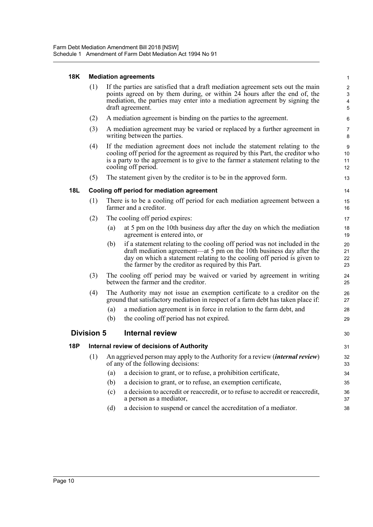#### **18K Mediation agreements**

| (1) | If the parties are satisfied that a draft mediation agreement sets out the main                                                                         |
|-----|---------------------------------------------------------------------------------------------------------------------------------------------------------|
|     | points agreed on by them during, or within 24 hours after the end of, the<br>mediation, the parties may enter into a mediation agreement by signing the |
|     | draft agreement.                                                                                                                                        |

30

- (2) A mediation agreement is binding on the parties to the agreement.
- (3) A mediation agreement may be varied or replaced by a further agreement in writing between the parties.
- (4) If the mediation agreement does not include the statement relating to the cooling off period for the agreement as required by this Part, the creditor who is a party to the agreement is to give to the farmer a statement relating to the cooling off period.
- (5) The statement given by the creditor is to be in the approved form.

#### **18L Cooling off period for mediation agreement**

- (1) There is to be a cooling off period for each mediation agreement between a farmer and a creditor.
- (2) The cooling off period expires:
	- (a) at 5 pm on the 10th business day after the day on which the mediation agreement is entered into, or
	- (b) if a statement relating to the cooling off period was not included in the draft mediation agreement—at 5 pm on the 10th business day after the day on which a statement relating to the cooling off period is given to the farmer by the creditor as required by this Part.
- (3) The cooling off period may be waived or varied by agreement in writing between the farmer and the creditor.
- (4) The Authority may not issue an exemption certificate to a creditor on the ground that satisfactory mediation in respect of a farm debt has taken place if:
	- (a) a mediation agreement is in force in relation to the farm debt, and
	- (b) the cooling off period has not expired.

#### **Division 5 Internal review**

| 18P | Internal review of decisions of Authority |     |                                                                                                                            |          |  |  |
|-----|-------------------------------------------|-----|----------------------------------------------------------------------------------------------------------------------------|----------|--|--|
|     | (1)                                       |     | An aggrieved person may apply to the Authority for a review <i>(internal review)</i><br>of any of the following decisions: | 32<br>33 |  |  |
|     |                                           | (a) | a decision to grant, or to refuse, a prohibition certificate,                                                              | 34       |  |  |
|     |                                           | (b) | a decision to grant, or to refuse, an exemption certificate,                                                               | 35       |  |  |
|     |                                           | (c) | a decision to accredit or reaccredit, or to refuse to accredit or reaccredit,<br>a person as a mediator,                   | 36<br>37 |  |  |
|     |                                           | (d) | a decision to suspend or cancel the accreditation of a mediator.                                                           | 38       |  |  |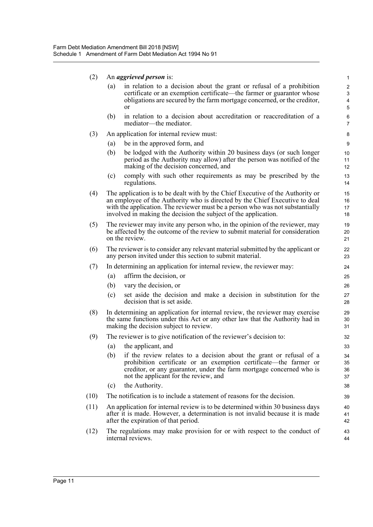(2) An *aggrieved person* is:

| (a) | in relation to a decision about the grant or refusal of a prohibition    |
|-----|--------------------------------------------------------------------------|
|     | certificate or an exemption certificate—the farmer or guarantor whose    |
|     | obligations are secured by the farm mortgage concerned, or the creditor, |
|     | or                                                                       |

43 44

- (b) in relation to a decision about accreditation or reaccreditation of a mediator—the mediator.
- (3) An application for internal review must:
	- (a) be in the approved form, and
	- (b) be lodged with the Authority within 20 business days (or such longer period as the Authority may allow) after the person was notified of the making of the decision concerned, and
	- (c) comply with such other requirements as may be prescribed by the regulations.
- (4) The application is to be dealt with by the Chief Executive of the Authority or an employee of the Authority who is directed by the Chief Executive to deal with the application. The reviewer must be a person who was not substantially involved in making the decision the subject of the application.
- (5) The reviewer may invite any person who, in the opinion of the reviewer, may be affected by the outcome of the review to submit material for consideration on the review.
- (6) The reviewer is to consider any relevant material submitted by the applicant or any person invited under this section to submit material.
- (7) In determining an application for internal review, the reviewer may:
	- (a) affirm the decision, or
	- (b) vary the decision, or
	- (c) set aside the decision and make a decision in substitution for the decision that is set aside.
- (8) In determining an application for internal review, the reviewer may exercise the same functions under this Act or any other law that the Authority had in making the decision subject to review.
- (9) The reviewer is to give notification of the reviewer's decision to:
	- (a) the applicant, and
	- (b) if the review relates to a decision about the grant or refusal of a prohibition certificate or an exemption certificate—the farmer or creditor, or any guarantor, under the farm mortgage concerned who is not the applicant for the review, and
	- (c) the Authority.
- (10) The notification is to include a statement of reasons for the decision.
- (11) An application for internal review is to be determined within 30 business days after it is made. However, a determination is not invalid because it is made after the expiration of that period. 40 41 42
- (12) The regulations may make provision for or with respect to the conduct of internal reviews.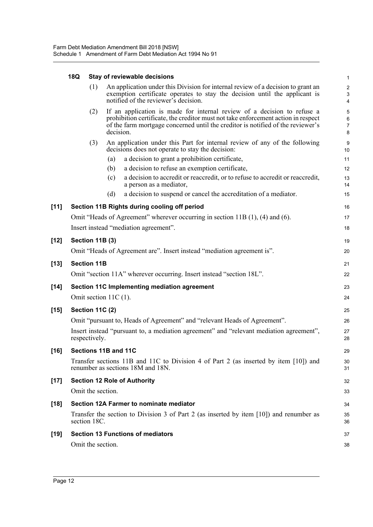### **18Q Stay of reviewable decisions**

|        | 18Q |                        |                         | Stay of reviewable decisions                                                                                                                                                                                                                    | $\mathbf{1}$                                        |
|--------|-----|------------------------|-------------------------|-------------------------------------------------------------------------------------------------------------------------------------------------------------------------------------------------------------------------------------------------|-----------------------------------------------------|
|        |     | (1)                    |                         | An application under this Division for internal review of a decision to grant an<br>exemption certificate operates to stay the decision until the applicant is<br>notified of the reviewer's decision.                                          | $\sqrt{2}$<br>$\sqrt{3}$<br>$\overline{\mathbf{4}}$ |
|        |     | (2)                    | decision.               | If an application is made for internal review of a decision to refuse a<br>prohibition certificate, the creditor must not take enforcement action in respect<br>of the farm mortgage concerned until the creditor is notified of the reviewer's | 5<br>6<br>$\overline{7}$<br>8                       |
|        |     | (3)                    |                         | An application under this Part for internal review of any of the following<br>decisions does not operate to stay the decision:                                                                                                                  | 9<br>10                                             |
|        |     |                        | (a)                     | a decision to grant a prohibition certificate,                                                                                                                                                                                                  | 11                                                  |
|        |     |                        | (b)                     | a decision to refuse an exemption certificate,                                                                                                                                                                                                  | 12                                                  |
|        |     |                        | (c)                     | a decision to accredit or reaccredit, or to refuse to accredit or reaccredit,<br>a person as a mediator,                                                                                                                                        | 13<br>14                                            |
|        |     |                        | (d)                     | a decision to suspend or cancel the accreditation of a mediator.                                                                                                                                                                                | 15                                                  |
| $[11]$ |     |                        |                         | Section 11B Rights during cooling off period                                                                                                                                                                                                    | 16                                                  |
|        |     |                        |                         | Omit "Heads of Agreement" wherever occurring in section 11B $(1)$ , $(4)$ and $(6)$ .                                                                                                                                                           | 17                                                  |
|        |     |                        |                         | Insert instead "mediation agreement".                                                                                                                                                                                                           | 18                                                  |
| [12]   |     | <b>Section 11B (3)</b> |                         |                                                                                                                                                                                                                                                 | 19                                                  |
|        |     |                        |                         | Omit "Heads of Agreement are". Insert instead "mediation agreement is".                                                                                                                                                                         | 20                                                  |
|        |     | <b>Section 11B</b>     |                         |                                                                                                                                                                                                                                                 |                                                     |
| [13]   |     |                        |                         |                                                                                                                                                                                                                                                 | 21                                                  |
|        |     |                        |                         | Omit "section 11A" wherever occurring. Insert instead "section 18L".                                                                                                                                                                            | 22                                                  |
| [14]   |     |                        |                         | Section 11C Implementing mediation agreement                                                                                                                                                                                                    | 23                                                  |
|        |     |                        | Omit section $11C(1)$ . |                                                                                                                                                                                                                                                 | 24                                                  |
| [15]   |     | <b>Section 11C (2)</b> |                         |                                                                                                                                                                                                                                                 | 25                                                  |
|        |     |                        |                         | Omit "pursuant to, Heads of Agreement" and "relevant Heads of Agreement".                                                                                                                                                                       | 26                                                  |
|        |     | respectively.          |                         | Insert instead "pursuant to, a mediation agreement" and "relevant mediation agreement",                                                                                                                                                         | 27<br>28                                            |
| [16]   |     |                        | Sections 11B and 11C    |                                                                                                                                                                                                                                                 | 29                                                  |
|        |     |                        |                         | Transfer sections 11B and 11C to Division 4 of Part 2 (as inserted by item [10]) and<br>renumber as sections 18M and 18N.                                                                                                                       | 30<br>31                                            |
| $[17]$ |     |                        |                         | <b>Section 12 Role of Authority</b>                                                                                                                                                                                                             | 32                                                  |
|        |     | Omit the section.      |                         |                                                                                                                                                                                                                                                 | 33                                                  |
| [18]   |     |                        |                         | Section 12A Farmer to nominate mediator                                                                                                                                                                                                         | 34                                                  |
|        |     | section 18C.           |                         | Transfer the section to Division 3 of Part 2 (as inserted by item $[10]$ ) and renumber as                                                                                                                                                      | 35<br>36                                            |
| [19]   |     |                        |                         | <b>Section 13 Functions of mediators</b>                                                                                                                                                                                                        | 37                                                  |
|        |     | Omit the section.      |                         |                                                                                                                                                                                                                                                 | 38                                                  |
|        |     |                        |                         |                                                                                                                                                                                                                                                 |                                                     |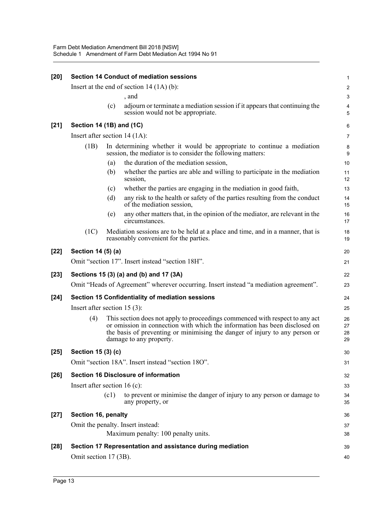| $[20]$ |                                  |      | <b>Section 14 Conduct of mediation sessions</b>                                                                                                                                                                                                                      | 1                    |
|--------|----------------------------------|------|----------------------------------------------------------------------------------------------------------------------------------------------------------------------------------------------------------------------------------------------------------------------|----------------------|
|        |                                  |      | Insert at the end of section $14 (1A)(b)$ :                                                                                                                                                                                                                          | $\overline{c}$       |
|        |                                  |      | , and                                                                                                                                                                                                                                                                | 3                    |
|        |                                  | (c)  | adjourn or terminate a mediation session if it appears that continuing the<br>session would not be appropriate.                                                                                                                                                      | 4<br>5               |
| $[21]$ | Section 14 (1B) and (1C)         |      |                                                                                                                                                                                                                                                                      | 6                    |
|        | Insert after section $14 (1A)$ : |      |                                                                                                                                                                                                                                                                      | 7                    |
|        | (1B)                             |      | In determining whether it would be appropriate to continue a mediation<br>session, the mediator is to consider the following matters:                                                                                                                                | 8<br>9               |
|        |                                  | (a)  | the duration of the mediation session,                                                                                                                                                                                                                               | 10                   |
|        |                                  | (b)  | whether the parties are able and willing to participate in the mediation<br>session,                                                                                                                                                                                 | 11<br>12             |
|        |                                  | (c)  | whether the parties are engaging in the mediation in good faith,                                                                                                                                                                                                     | 13                   |
|        |                                  | (d)  | any risk to the health or safety of the parties resulting from the conduct<br>of the mediation session,                                                                                                                                                              | 14<br>15             |
|        |                                  | (e)  | any other matters that, in the opinion of the mediator, are relevant in the<br>circumstances.                                                                                                                                                                        | 16<br>17             |
|        | (1C)                             |      | Mediation sessions are to be held at a place and time, and in a manner, that is<br>reasonably convenient for the parties.                                                                                                                                            | 18<br>19             |
| $[22]$ | Section 14 (5) (a)               |      |                                                                                                                                                                                                                                                                      | 20                   |
|        |                                  |      | Omit "section 17". Insert instead "section 18H".                                                                                                                                                                                                                     | 21                   |
| $[23]$ |                                  |      | Sections 15 (3) (a) and (b) and 17 (3A)                                                                                                                                                                                                                              | 22                   |
|        |                                  |      | Omit "Heads of Agreement" wherever occurring. Insert instead "a mediation agreement".                                                                                                                                                                                | 23                   |
| $[24]$ |                                  |      | Section 15 Confidentiality of mediation sessions                                                                                                                                                                                                                     | 24                   |
|        | Insert after section $15(3)$ :   |      |                                                                                                                                                                                                                                                                      | 25                   |
|        | (4)                              |      | This section does not apply to proceedings commenced with respect to any act<br>or omission in connection with which the information has been disclosed on<br>the basis of preventing or minimising the danger of injury to any person or<br>damage to any property. | 26<br>27<br>28<br>29 |
| $[25]$ | Section 15 (3) (c)               |      |                                                                                                                                                                                                                                                                      | 30                   |
|        |                                  |      | Omit "section 18A". Insert instead "section 18O".                                                                                                                                                                                                                    | 31                   |
| $[26]$ |                                  |      | <b>Section 16 Disclosure of information</b>                                                                                                                                                                                                                          | 32                   |
|        | Insert after section 16 (c):     |      |                                                                                                                                                                                                                                                                      | 33                   |
|        |                                  | (c1) | to prevent or minimise the danger of injury to any person or damage to<br>any property, or                                                                                                                                                                           | 34<br>35             |
| $[27]$ | Section 16, penalty              |      |                                                                                                                                                                                                                                                                      | 36                   |
|        |                                  |      | Omit the penalty. Insert instead:                                                                                                                                                                                                                                    | 37                   |
|        |                                  |      | Maximum penalty: 100 penalty units.                                                                                                                                                                                                                                  | 38                   |
| $[28]$ |                                  |      | Section 17 Representation and assistance during mediation                                                                                                                                                                                                            | 39                   |
|        | Omit section 17 (3B).            |      |                                                                                                                                                                                                                                                                      | 40                   |
|        |                                  |      |                                                                                                                                                                                                                                                                      |                      |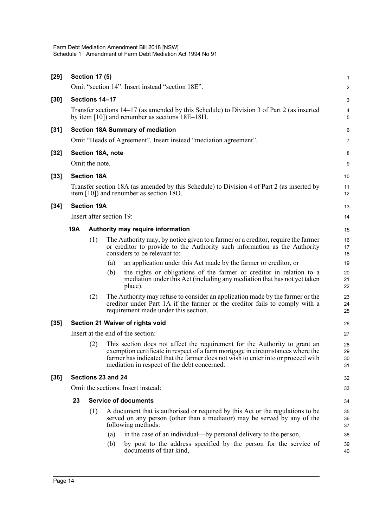| $[29]$ | <b>Section 17 (5)</b>                                                                                                                               |                                   |                          |                                                                                                                                                                                                                                                                                                 |                      |  |  |
|--------|-----------------------------------------------------------------------------------------------------------------------------------------------------|-----------------------------------|--------------------------|-------------------------------------------------------------------------------------------------------------------------------------------------------------------------------------------------------------------------------------------------------------------------------------------------|----------------------|--|--|
|        | Omit "section 14". Insert instead "section 18E".                                                                                                    |                                   |                          |                                                                                                                                                                                                                                                                                                 |                      |  |  |
| $[30]$ | Sections 14-17                                                                                                                                      |                                   |                          |                                                                                                                                                                                                                                                                                                 |                      |  |  |
|        | Transfer sections 14–17 (as amended by this Schedule) to Division 3 of Part 2 (as inserted<br>by item $[10]$ ) and renumber as sections $18E-18H$ . |                                   |                          |                                                                                                                                                                                                                                                                                                 |                      |  |  |
| $[31]$ | <b>Section 18A Summary of mediation</b>                                                                                                             |                                   |                          |                                                                                                                                                                                                                                                                                                 |                      |  |  |
|        | Omit "Heads of Agreement". Insert instead "mediation agreement".                                                                                    |                                   |                          |                                                                                                                                                                                                                                                                                                 |                      |  |  |
| $[32]$ | Section 18A, note                                                                                                                                   |                                   |                          |                                                                                                                                                                                                                                                                                                 |                      |  |  |
|        | Omit the note.                                                                                                                                      |                                   |                          |                                                                                                                                                                                                                                                                                                 |                      |  |  |
| $[33]$ | <b>Section 18A</b>                                                                                                                                  |                                   |                          |                                                                                                                                                                                                                                                                                                 |                      |  |  |
|        | Transfer section 18A (as amended by this Schedule) to Division 4 of Part 2 (as inserted by<br>item $[10]$ ) and renumber as section 180.            |                                   |                          |                                                                                                                                                                                                                                                                                                 |                      |  |  |
| $[34]$ |                                                                                                                                                     | <b>Section 19A</b>                |                          |                                                                                                                                                                                                                                                                                                 | 13                   |  |  |
|        |                                                                                                                                                     |                                   | Insert after section 19: |                                                                                                                                                                                                                                                                                                 | 14                   |  |  |
|        | 19A                                                                                                                                                 |                                   |                          | Authority may require information                                                                                                                                                                                                                                                               | 15                   |  |  |
|        |                                                                                                                                                     | (1)                               |                          | The Authority may, by notice given to a farmer or a creditor, require the farmer<br>or creditor to provide to the Authority such information as the Authority<br>considers to be relevant to:                                                                                                   | 16<br>17<br>18       |  |  |
|        |                                                                                                                                                     |                                   | (a)                      | an application under this Act made by the farmer or creditor, or                                                                                                                                                                                                                                | 19                   |  |  |
|        |                                                                                                                                                     |                                   | (b)                      | the rights or obligations of the farmer or creditor in relation to a<br>mediation under this Act (including any mediation that has not yet taken<br>place).                                                                                                                                     | 20<br>21<br>22       |  |  |
|        |                                                                                                                                                     | (2)                               |                          | The Authority may refuse to consider an application made by the farmer or the<br>creditor under Part 1A if the farmer or the creditor fails to comply with a<br>requirement made under this section.                                                                                            | 23<br>24<br>25       |  |  |
| $[35]$ | Section 21 Waiver of rights void                                                                                                                    |                                   |                          |                                                                                                                                                                                                                                                                                                 |                      |  |  |
|        |                                                                                                                                                     | Insert at the end of the section: |                          |                                                                                                                                                                                                                                                                                                 |                      |  |  |
|        |                                                                                                                                                     | (2)                               |                          | This section does not affect the requirement for the Authority to grant an<br>exemption certificate in respect of a farm mortgage in circumstances where the<br>farmer has indicated that the farmer does not wish to enter into or proceed with<br>mediation in respect of the debt concerned. | 28<br>29<br>30<br>31 |  |  |
| $[36]$ | Sections 23 and 24                                                                                                                                  |                                   |                          |                                                                                                                                                                                                                                                                                                 |                      |  |  |
|        | Omit the sections. Insert instead:                                                                                                                  |                                   |                          |                                                                                                                                                                                                                                                                                                 |                      |  |  |
|        | 23                                                                                                                                                  | <b>Service of documents</b>       | 34                       |                                                                                                                                                                                                                                                                                                 |                      |  |  |
|        |                                                                                                                                                     | (1)                               |                          | A document that is authorised or required by this Act or the regulations to be<br>served on any person (other than a mediator) may be served by any of the<br>following methods:                                                                                                                | 35<br>36<br>37       |  |  |
|        |                                                                                                                                                     |                                   | (a)                      | in the case of an individual—by personal delivery to the person,                                                                                                                                                                                                                                | 38                   |  |  |
|        |                                                                                                                                                     |                                   | (b)                      | by post to the address specified by the person for the service of<br>documents of that kind,                                                                                                                                                                                                    | 39<br>40             |  |  |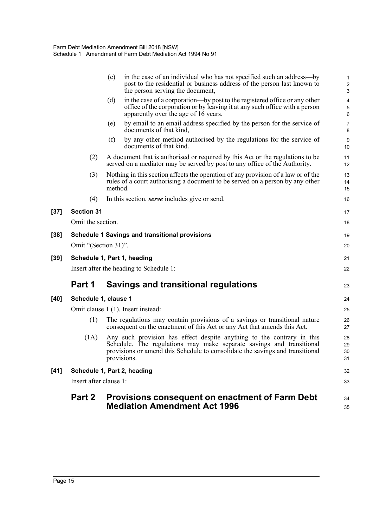|        | Part 2                                                                 | <b>Provisions consequent on enactment of Farm Debt</b><br><b>Mediation Amendment Act 1996</b>                                                                                                                                                  | 34<br>35                                                 |  |  |  |
|--------|------------------------------------------------------------------------|------------------------------------------------------------------------------------------------------------------------------------------------------------------------------------------------------------------------------------------------|----------------------------------------------------------|--|--|--|
|        | Insert after clause 1:                                                 |                                                                                                                                                                                                                                                |                                                          |  |  |  |
| $[41]$ | Schedule 1, Part 2, heading                                            |                                                                                                                                                                                                                                                |                                                          |  |  |  |
|        | (1A)                                                                   | Any such provision has effect despite anything to the contrary in this<br>Schedule. The regulations may make separate savings and transitional<br>provisions or amend this Schedule to consolidate the savings and transitional<br>provisions. | 28<br>29<br>30<br>31                                     |  |  |  |
|        | (1)                                                                    | The regulations may contain provisions of a savings or transitional nature<br>consequent on the enactment of this Act or any Act that amends this Act.                                                                                         | 26<br>27                                                 |  |  |  |
|        |                                                                        | Omit clause 1 (1). Insert instead:                                                                                                                                                                                                             | 25                                                       |  |  |  |
| $[40]$ | Schedule 1, clause 1                                                   |                                                                                                                                                                                                                                                |                                                          |  |  |  |
|        | Part 1                                                                 | <b>Savings and transitional regulations</b>                                                                                                                                                                                                    | 23                                                       |  |  |  |
| $[39]$ | Schedule 1, Part 1, heading<br>Insert after the heading to Schedule 1: |                                                                                                                                                                                                                                                |                                                          |  |  |  |
|        | Omit "(Section 31)".                                                   |                                                                                                                                                                                                                                                | 20<br>21                                                 |  |  |  |
| $[38]$ |                                                                        | <b>Schedule 1 Savings and transitional provisions</b>                                                                                                                                                                                          | 19                                                       |  |  |  |
|        | Omit the section.                                                      |                                                                                                                                                                                                                                                | 18                                                       |  |  |  |
| $[37]$ | <b>Section 31</b>                                                      |                                                                                                                                                                                                                                                | 17                                                       |  |  |  |
|        | (4)                                                                    | In this section, <i>serve</i> includes give or send.                                                                                                                                                                                           | 16                                                       |  |  |  |
|        | (3)                                                                    | Nothing in this section affects the operation of any provision of a law or of the<br>rules of a court authorising a document to be served on a person by any other<br>method.                                                                  | 13<br>14<br>15                                           |  |  |  |
|        | (2)                                                                    | A document that is authorised or required by this Act or the regulations to be<br>served on a mediator may be served by post to any office of the Authority.                                                                                   | 11<br>12                                                 |  |  |  |
|        |                                                                        | (f)<br>by any other method authorised by the regulations for the service of<br>documents of that kind.                                                                                                                                         | $\boldsymbol{9}$<br>10                                   |  |  |  |
|        |                                                                        | by email to an email address specified by the person for the service of<br>(e)<br>documents of that kind,                                                                                                                                      | $\boldsymbol{7}$<br>8                                    |  |  |  |
|        |                                                                        | in the case of a corporation—by post to the registered office or any other<br>(d)<br>office of the corporation or by leaving it at any such office with a person<br>apparently over the age of 16 years,                                       | $\overline{\mathbf{4}}$<br>$\sqrt{5}$<br>$6\phantom{1}6$ |  |  |  |
|        |                                                                        | in the case of an individual who has not specified such an address—by<br>(c)<br>post to the residential or business address of the person last known to<br>the person serving the document,                                                    | 1<br>$\overline{2}$<br>$\mathsf 3$                       |  |  |  |
|        |                                                                        |                                                                                                                                                                                                                                                |                                                          |  |  |  |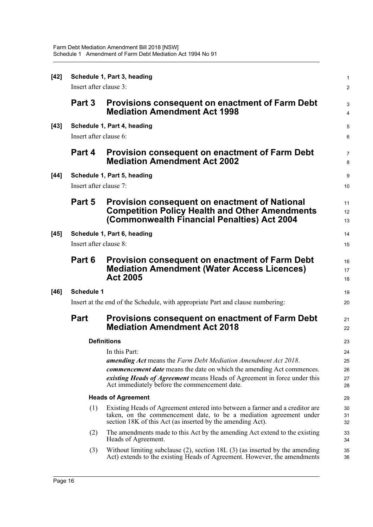| $[42]$ | Schedule 1, Part 3, heading                                                    |                                                                                                                                                                                                                  |                     |  |  |  |
|--------|--------------------------------------------------------------------------------|------------------------------------------------------------------------------------------------------------------------------------------------------------------------------------------------------------------|---------------------|--|--|--|
|        | Insert after clause 3:                                                         |                                                                                                                                                                                                                  |                     |  |  |  |
|        | Part 3                                                                         | <b>Provisions consequent on enactment of Farm Debt</b><br><b>Mediation Amendment Act 1998</b>                                                                                                                    | 3<br>4              |  |  |  |
| $[43]$ |                                                                                | Schedule 1, Part 4, heading                                                                                                                                                                                      | $\sqrt{5}$          |  |  |  |
|        | Insert after clause 6:                                                         |                                                                                                                                                                                                                  |                     |  |  |  |
|        | Part 4                                                                         | <b>Provision consequent on enactment of Farm Debt</b><br><b>Mediation Amendment Act 2002</b>                                                                                                                     | $\overline{7}$<br>8 |  |  |  |
| $[44]$ | Schedule 1, Part 5, heading                                                    |                                                                                                                                                                                                                  |                     |  |  |  |
|        | Insert after clause 7:                                                         |                                                                                                                                                                                                                  |                     |  |  |  |
|        | Part 5                                                                         | <b>Provision consequent on enactment of National</b><br><b>Competition Policy Health and Other Amendments</b><br>(Commonwealth Financial Penalties) Act 2004                                                     | 11<br>12<br>13      |  |  |  |
| $[45]$ | Schedule 1, Part 6, heading                                                    |                                                                                                                                                                                                                  |                     |  |  |  |
|        | Insert after clause 8:                                                         |                                                                                                                                                                                                                  |                     |  |  |  |
|        | Part 6                                                                         | <b>Provision consequent on enactment of Farm Debt</b><br><b>Mediation Amendment (Water Access Licences)</b><br><b>Act 2005</b>                                                                                   | 16<br>17<br>18      |  |  |  |
| $[46]$ | <b>Schedule 1</b>                                                              |                                                                                                                                                                                                                  |                     |  |  |  |
|        | Insert at the end of the Schedule, with appropriate Part and clause numbering: |                                                                                                                                                                                                                  |                     |  |  |  |
|        | <b>Part</b>                                                                    | Provisions consequent on enactment of Farm Debt<br><b>Mediation Amendment Act 2018</b>                                                                                                                           | 21<br>22            |  |  |  |
|        |                                                                                | <b>Definitions</b>                                                                                                                                                                                               | 23                  |  |  |  |
|        |                                                                                | In this Part:                                                                                                                                                                                                    | 24                  |  |  |  |
|        |                                                                                | <b>amending Act</b> means the Farm Debt Mediation Amendment Act 2018.                                                                                                                                            | 25                  |  |  |  |
|        |                                                                                | <b><i>commencement date</i></b> means the date on which the amending Act commences.<br>existing Heads of Agreement means Heads of Agreement in force under this<br>Act immediately before the commencement date. | 26<br>27<br>28      |  |  |  |
|        |                                                                                | <b>Heads of Agreement</b>                                                                                                                                                                                        | 29                  |  |  |  |
|        | (1)                                                                            | Existing Heads of Agreement entered into between a farmer and a creditor are<br>taken, on the commencement date, to be a mediation agreement under<br>section 18K of this Act (as inserted by the amending Act). | 30<br>31<br>32      |  |  |  |
|        | (2)                                                                            | The amendments made to this Act by the amending Act extend to the existing<br>Heads of Agreement.                                                                                                                | 33<br>34            |  |  |  |
|        | (3)                                                                            | Without limiting subclause $(2)$ , section 18L $(3)$ (as inserted by the amending<br>Act) extends to the existing Heads of Agreement. However, the amendments                                                    | 35<br>36            |  |  |  |